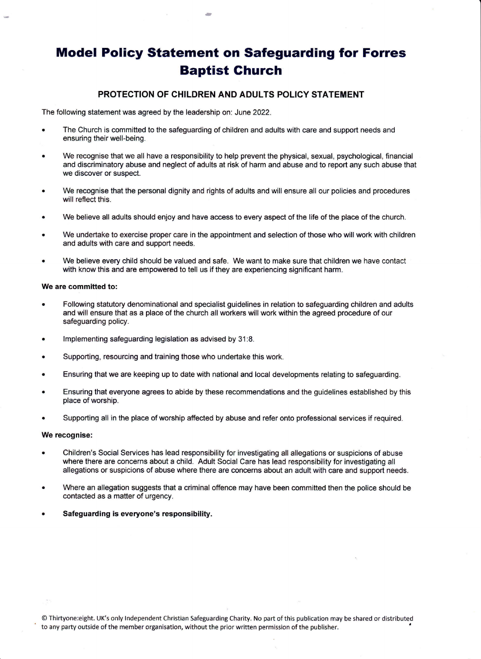# Model Policy Statement on Safeguarding for Forres Baptist Ghurch

## PROTECTION OF CHILDREN AND ADULTS POLICY STATEMENT

The following statement was agreed by the leadership on: June 2022.

- The Church is committed to the safeguarding of children and adults with care and support needs and ensuring their well-being.
- . We recognise that we all have a responsibility to help prevent the physical, sexual, psychological, financial and discriminatory abuse and neglect of adults at risk of harm and abuse and to report any such abuse that we discover or suspect.
- We recognise that the personal dignity and rights of adults and will ensure all our policies and procedures will reflect this.
- We believe all adults should enjoy and have access to every aspect of the life of the place of the church.
- We undertake to exercise proper care in the appointment and selection of those who will work with children and adults with care and support needs.
- . We believe every child should be valued and safe. We want to make sure that children we have contact with know this and are empowered to tell us if they are experiencing significant harm.

### We are committed to:

- Following statutory denominational and specialist guidelines in relation to safeguarding children and adults and will ensure that as a place of the church all workers will work within the agreed procedure of our safeguarding policy.
- Implementing safeguarding legislation as advised by 31:8.
- . Supporting, resourcing and training those who undertake this work.
- . Ensuring that we are keeping up to date with national and local developments relating to safeguarding.
- . Ensuring that everyone agrees to abide by these recommendations and the guidelines established by this place of worship.
- . Supporting all in the place of worship affected by abuse and refer onto professional services if required.

#### We recognise:

- . Children's Social Services has lead responsibility for investigating all allegations or suspicions of abuse where there are concerns about a child. Adult Social Care has lead responsibility for investigating all allegations or suspicions of abuse where there are concerns about an adult with care and support needs.
- . Where an allegation suggests that a criminal offence may have been committed then the police should be contacted as a matter of urgency.
- . Safeguarding is everyore's responsibility.

@ Thifione:eight. UK's only lndependent Christian Safeguarding Charity. No part of this publication may be shared or distributed to any party outside of the member organisation, without the prior written permission of the publisher.